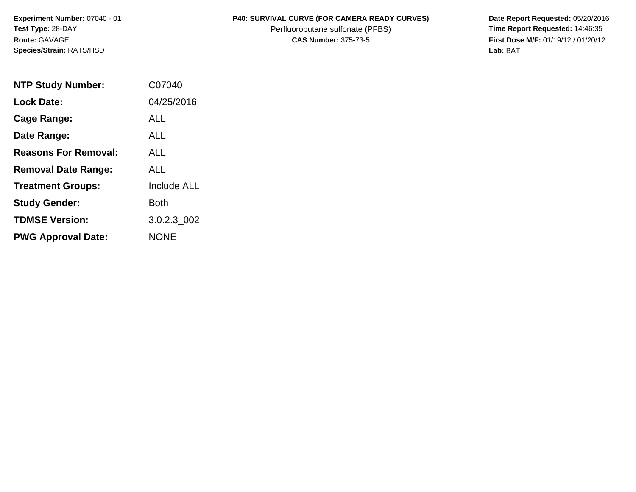**Experiment Number:** 07040 - 01 **Test Type:** 28-DAY **Route:** GAVAGE **Species/Strain:** RATS/HSD

## P40: SURVIVAL CURVE (FOR CAMERA READY CURVES) Date Report Requested: 05/20/2016

Perfluorobutane sulfonate (PFBS) **Time Report Requested:** 14:46:35

**CAS Number:** 375-73-5 **First Dose M/F:** 01/19/12 / 01/20/12 **Lab:** BAT

| <b>NTP Study Number:</b>    | C07040             |
|-----------------------------|--------------------|
| <b>Lock Date:</b>           | 04/25/2016         |
| Cage Range:                 | ALL                |
| Date Range:                 | ALL                |
| <b>Reasons For Removal:</b> | ALL.               |
| <b>Removal Date Range:</b>  | ALL                |
| <b>Treatment Groups:</b>    | <b>Include ALL</b> |
| <b>Study Gender:</b>        | Both               |
| <b>TDMSE Version:</b>       | 3.0.2.3 002        |
| <b>PWG Approval Date:</b>   | <b>NONE</b>        |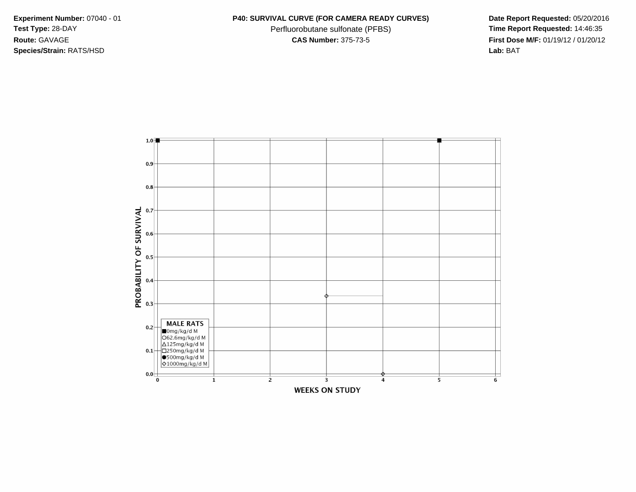**Species/Strain:** RATS/HSD **Lab:** BAT

## **Experiment Number:** 07040 - 01 **P40: SURVIVAL CURVE (FOR CAMERA READY CURVES) Date Report Requested:** 05/20/2016

Test Type: 28-DAY **Perfluorobutane sulfonate (PFBS) Time Report Requested:** 14:46:35 **Route:** GAVAGE **CAS Number:** 375-73-5 **First Dose M/F:** 01/19/12 / 01/20/12